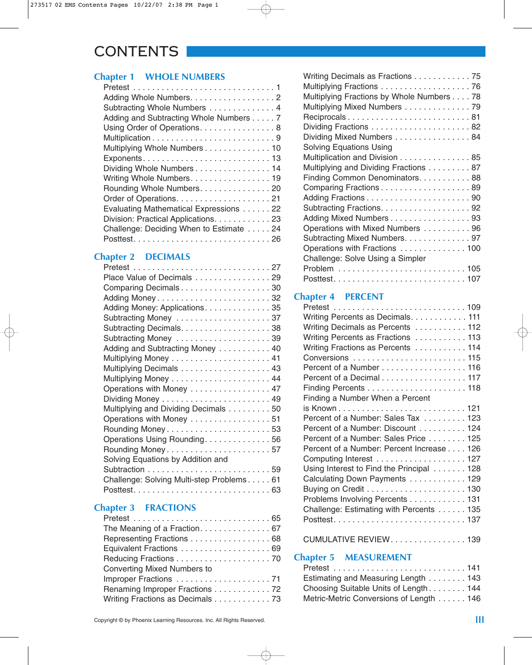## CONTENTS

## **Chapter 1 WHOLE NUMBERS**

| Adding Whole Numbers. 2                 |
|-----------------------------------------|
| Subtracting Whole Numbers 4             |
| Adding and Subtracting Whole Numbers 7  |
| Using Order of Operations. 8            |
|                                         |
| Multiplying Whole Numbers 10            |
|                                         |
| Dividing Whole Numbers 14               |
| Writing Whole Numbers. 19               |
| Rounding Whole Numbers. 20              |
|                                         |
| Evaluating Mathematical Expressions 22  |
| Division: Practical Applications. 23    |
| Challenge: Deciding When to Estimate 24 |
|                                         |
|                                         |

## **Chapter 2 DECIMALS**

| Place Value of Decimals 29                |
|-------------------------------------------|
| Comparing Decimals 30                     |
| Adding Money32                            |
| Adding Money: Applications. 35            |
| Subtracting Money 37                      |
| Subtracting Decimals. 38                  |
|                                           |
| Adding and Subtracting Money 40           |
|                                           |
| Multiplying Decimals 43                   |
|                                           |
| Operations with Money 47                  |
|                                           |
| Multiplying and Dividing Decimals 50      |
| Operations with Money 51                  |
| Rounding Money53                          |
| Operations Using Rounding. 56             |
| Rounding Money57                          |
| Solving Equations by Addition and         |
|                                           |
| Challenge: Solving Multi-step Problems 61 |
|                                           |
|                                           |

## **Chapter 3 FRACTIONS**

| The Meaning of a Fraction. 67      |
|------------------------------------|
| Representing Fractions 68          |
|                                    |
|                                    |
| <b>Converting Mixed Numbers to</b> |
|                                    |
| Renaming Improper Fractions 72     |
| Writing Fractions as Decimals 73   |
|                                    |

| Writing Decimals as Fractions 75          |
|-------------------------------------------|
| Multiplying Fractions 76                  |
| Multiplying Fractions by Whole Numbers 78 |
| Multiplying Mixed Numbers 79              |
| Reciprocals81                             |
|                                           |
| Dividing Mixed Numbers 84                 |
| <b>Solving Equations Using</b>            |
| Multiplication and Division 85            |
| Multiplying and Dividing Fractions 87     |
| Finding Common Denominators. 88           |
| Comparing Fractions 89                    |
|                                           |
|                                           |
| Adding Mixed Numbers 93                   |
| Operations with Mixed Numbers  96         |
| Subtracting Mixed Numbers. 97             |
| Operations with Fractions  100            |
| Challenge: Solve Using a Simpler          |
|                                           |
|                                           |

## **Chapter 4 PERCENT**

| Writing Percents as Decimals. 111         |
|-------------------------------------------|
| Writing Decimals as Percents 112          |
| Writing Percents as Fractions 113         |
| Writing Fractions as Percents 114         |
|                                           |
| Percent of a Number 116                   |
| Percent of a Decimal 117                  |
|                                           |
| Finding a Number When a Percent           |
|                                           |
| Percent of a Number: Sales Tax 123        |
| Percent of a Number: Discount 124         |
| Percent of a Number: Sales Price 125      |
| Percent of a Number: Percent Increase 126 |
| Computing Interest 127                    |
| Using Interest to Find the Principal 128  |
| Calculating Down Payments 129             |
|                                           |
| Problems Involving Percents 131           |
| Challenge: Estimating with Percents 135   |
|                                           |
|                                           |

### CUMULATIVE REVIEW. . . . . . . . . . . . . . . . 139

## **Chapter 5 MEASUREMENT**

| Estimating and Measuring Length 143     |  |
|-----------------------------------------|--|
| Choosing Suitable Units of Length 144   |  |
| Metric-Metric Conversions of Length 146 |  |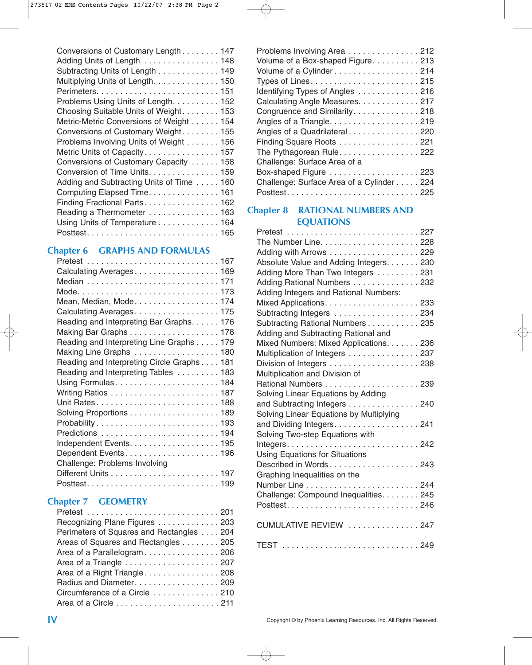| Conversions of Customary Length 147      |
|------------------------------------------|
| Adding Units of Length 148               |
| Subtracting Units of Length 149          |
| Multiplying Units of Length. 150         |
|                                          |
| Problems Using Units of Length. 152      |
| Choosing Suitable Units of Weight. 153   |
| Metric-Metric Conversions of Weight 154  |
| Conversions of Customary Weight. 155     |
| Problems Involving Units of Weight 156   |
| Metric Units of Capacity. 157            |
| Conversions of Customary Capacity 158    |
| Conversion of Time Units. 159            |
| Adding and Subtracting Units of Time 160 |
| Computing Elapsed Time. 161              |
| Finding Fractional Parts. 162            |
| Reading a Thermometer 163                |
| Using Units of Temperature 164           |
|                                          |

### **Chapter 6 GRAPHS AND FORMULAS**

| Calculating Averages 169                   |
|--------------------------------------------|
|                                            |
|                                            |
| Mean, Median, Mode174                      |
| Calculating Averages175                    |
| Reading and Interpreting Bar Graphs. 176   |
|                                            |
| Reading and Interpreting Line Graphs 179   |
| Making Line Graphs 180                     |
| Reading and Interpreting Circle Graphs 181 |
| Reading and Interpreting Tables 183        |
|                                            |
|                                            |
|                                            |
| Solving Proportions 189                    |
|                                            |
|                                            |
|                                            |
|                                            |
| Challenge: Problems Involving              |
|                                            |
|                                            |

### **Chapter 7 GEOMETRY**

| Recognizing Plane Figures 203            |
|------------------------------------------|
| Perimeters of Squares and Rectangles 204 |
| Areas of Squares and Rectangles 205      |
| Area of a Parallelogram. 206             |
|                                          |
| Area of a Right Triangle. 208            |
| Radius and Diameter. 209                 |
| Circumference of a Circle 210            |
|                                          |

| Problems Involving Area 212               |
|-------------------------------------------|
| Volume of a Box-shaped Figure. 213        |
| Volume of a Cylinder214                   |
|                                           |
| Identifying Types of Angles 216           |
| Calculating Angle Measures. 217           |
| Congruence and Similarity. 218            |
|                                           |
| Angles of a Quadrilateral 220             |
| Finding Square Roots 221                  |
| The Pythagorean Rule. 222                 |
| Challenge: Surface Area of a              |
| Box-shaped Figure 223                     |
| Challenge: Surface Area of a Cylinder 224 |
|                                           |
|                                           |

### **Chapter 8 RATIONAL NUMBERS AND EQUATIONS**

| Adding with Arrows 229                  |
|-----------------------------------------|
| Absolute Value and Adding Integers. 230 |
| Adding More Than Two Integers 231       |
| Adding Rational Numbers 232             |
| Adding Integers and Rational Numbers:   |
|                                         |
| Subtracting Integers 234                |
| Subtracting Rational Numbers 235        |
| Adding and Subtracting Rational and     |
| Mixed Numbers: Mixed Applications. 236  |
| Multiplication of Integers 237          |
|                                         |
| Multiplication and Division of          |
|                                         |
| Solving Linear Equations by Adding      |
| and Subtracting Integers 240            |
| Solving Linear Equations by Multiplying |
| and Dividing Integers. 241              |
| Solving Two-step Equations with         |
|                                         |
| <b>Using Equations for Situations</b>   |
| Described in Words 243                  |
| Graphing Inequalities on the            |
|                                         |
| Challenge: Compound Inequalities. 245   |
|                                         |
|                                         |
| CUMULATIVE REVIEW 247                   |
|                                         |
|                                         |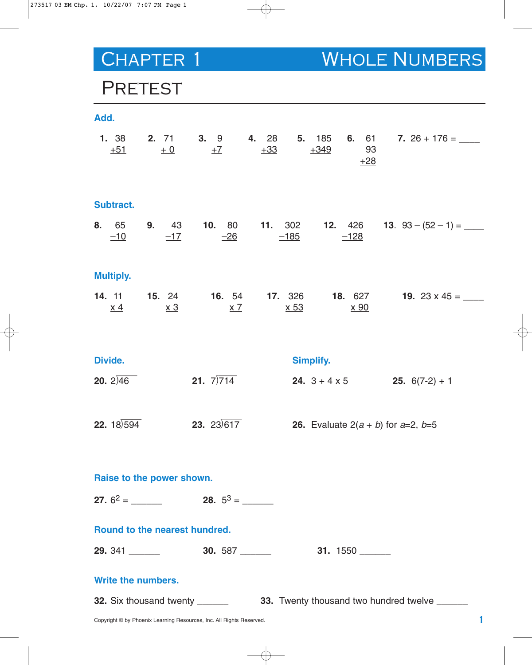CHAPTER 1 WHOLE NUMBERS

## PRETEST

| Add.                           |            |                                |             |                                                  |                                                                                                         |
|--------------------------------|------------|--------------------------------|-------------|--------------------------------------------------|---------------------------------------------------------------------------------------------------------|
| $+51$                          | $+0$       | $\pm$ 7                        | $+33$       | $+349$<br>93<br>$+28$                            | <b>1.</b> 38 <b>2.</b> 71 <b>3.</b> 9 <b>4.</b> 28 <b>5.</b> 185 <b>6.</b> 61 <b>7.</b> 26 + 176 = ____ |
| Subtract.                      |            |                                |             |                                                  |                                                                                                         |
|                                |            | $-10$ $-17$ $-26$ $-185$       |             | $-128$                                           | <b>8.</b> 65 <b>9.</b> 43 <b>10.</b> 80 <b>11.</b> 302 <b>12.</b> 426 <b>13.</b> 93 - (52 - 1) = ____   |
| <b>Multiply.</b>               |            |                                |             |                                                  |                                                                                                         |
| <u>x 4</u>                     | <u>x 3</u> | $\times 7$                     | <u>x 53</u> | <u>x 90</u>                                      | <b>14.</b> 11 <b>15.</b> 24 <b>16.</b> 54 <b>17.</b> 326 <b>18.</b> 627 <b>19.</b> 23 x 45 = ____       |
| Divide.                        |            |                                |             | <b>Simplify.</b>                                 |                                                                                                         |
| <b>20.</b> $2\sqrt{46}$        |            | <b>21.</b> $7)714$             |             |                                                  | <b>24.</b> $3 + 4 \times 5$ <b>25.</b> $6(7-2) + 1$                                                     |
| <b>22.</b> $18\overline{)594}$ |            | <b>23.</b> 23 $\sqrt{617}$     |             | <b>26.</b> Evaluate $2(a + b)$ for $a=2$ , $b=5$ |                                                                                                         |
| Raise to the power shown.      |            |                                |             |                                                  |                                                                                                         |
|                                |            |                                |             |                                                  |                                                                                                         |
| Round to the nearest hundred.  |            |                                |             |                                                  |                                                                                                         |
|                                |            |                                |             |                                                  |                                                                                                         |
| <b>Write the numbers.</b>      |            |                                |             |                                                  |                                                                                                         |
|                                |            | 32. Six thousand twenty ______ |             |                                                  | 33. Twenty thousand two hundred twelve ______                                                           |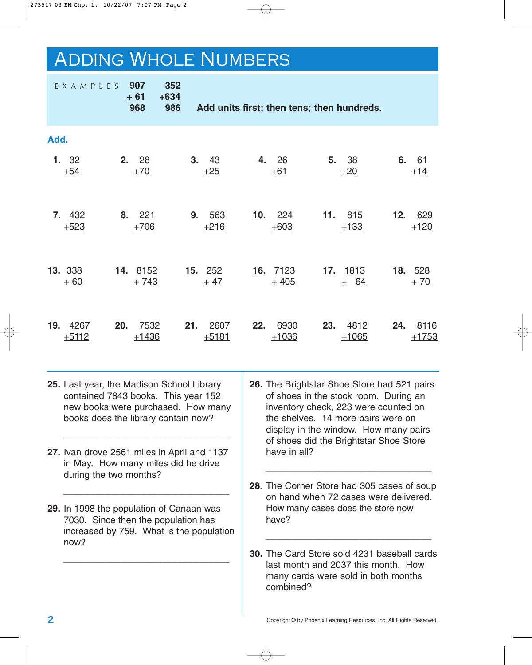# Adding Whole Numbers

|      | EXAMPLES                                                                                                                                                      |                                                                                                                             | 907<br>$+61$<br>968 | 352<br>$+634$<br>986 |     | Add units first; then tens; then hundreds.                                                                                                                                                                                                                            |                                                                                                                                               |                                            |                                                                                     |     |                       |     |    |                  |
|------|---------------------------------------------------------------------------------------------------------------------------------------------------------------|-----------------------------------------------------------------------------------------------------------------------------|---------------------|----------------------|-----|-----------------------------------------------------------------------------------------------------------------------------------------------------------------------------------------------------------------------------------------------------------------------|-----------------------------------------------------------------------------------------------------------------------------------------------|--------------------------------------------|-------------------------------------------------------------------------------------|-----|-----------------------|-----|----|------------------|
| Add. |                                                                                                                                                               |                                                                                                                             |                     |                      |     |                                                                                                                                                                                                                                                                       |                                                                                                                                               |                                            |                                                                                     |     |                       |     |    |                  |
|      | 1. 32<br>$+54$                                                                                                                                                | 2.                                                                                                                          | 28<br>$+70$         |                      | 3.  | 43<br>$+25$                                                                                                                                                                                                                                                           |                                                                                                                                               | 4. 26<br>$+61$                             |                                                                                     | 5.  | 38<br>$+20$           |     | 6. | 61<br>$+14$      |
|      | 7. 432<br>$+523$                                                                                                                                              | 8.                                                                                                                          | 221<br>$+706$       |                      | 9.  | 563<br>$+216$                                                                                                                                                                                                                                                         | 10 <sub>1</sub>                                                                                                                               | 224<br>$+603$                              |                                                                                     | 11. | 815<br>$+133$         | 12. |    | 629<br>$+120$    |
|      | 13. 338<br>$+60$                                                                                                                                              |                                                                                                                             | 14. 8152<br>$+743$  |                      |     | 15. 252<br>$+47$                                                                                                                                                                                                                                                      |                                                                                                                                               | 16. 7123<br>$+405$                         |                                                                                     |     | 17. 1813<br>64<br>$+$ |     |    | 18. 528<br>$+70$ |
| 19.  | 4267<br>$+5112$                                                                                                                                               | 20.                                                                                                                         | 7532<br>$+1436$     |                      | 21. | 2607<br>$+5181$                                                                                                                                                                                                                                                       | 22.                                                                                                                                           | 6930<br>$+1036$                            |                                                                                     | 23. | 4812<br>$+1065$       | 24. |    | 8116<br>$+1753$  |
|      | 25. Last year, the Madison School Library<br>contained 7843 books. This year 152<br>new books were purchased. How many<br>books does the library contain now? |                                                                                                                             |                     |                      |     | 26. The Brightstar Shoe Store had 521 pairs<br>of shoes in the stock room. During an<br>inventory check, 223 were counted on<br>the shelves. 14 more pairs were on<br>display in the window. How many pairs<br>of shoes did the Brightstar Shoe Store<br>have in all? |                                                                                                                                               |                                            |                                                                                     |     |                       |     |    |                  |
|      | 27. Ivan drove 2561 miles in April and 1137<br>in May. How many miles did he drive<br>during the two months?                                                  |                                                                                                                             |                     |                      |     |                                                                                                                                                                                                                                                                       |                                                                                                                                               | 28. The Corner Store had 305 cases of soup |                                                                                     |     |                       |     |    |                  |
|      |                                                                                                                                                               | 29. In 1998 the population of Canaan was<br>7030. Since then the population has<br>increased by 759. What is the population |                     |                      |     |                                                                                                                                                                                                                                                                       |                                                                                                                                               |                                            | on hand when 72 cases were delivered.<br>How many cases does the store now<br>have? |     |                       |     |    |                  |
|      | now?                                                                                                                                                          |                                                                                                                             |                     |                      |     |                                                                                                                                                                                                                                                                       | <b>30.</b> The Card Store sold 4231 baseball cards<br>last month and 2037 this month. How<br>many cards were sold in both months<br>combined? |                                            |                                                                                     |     |                       |     |    |                  |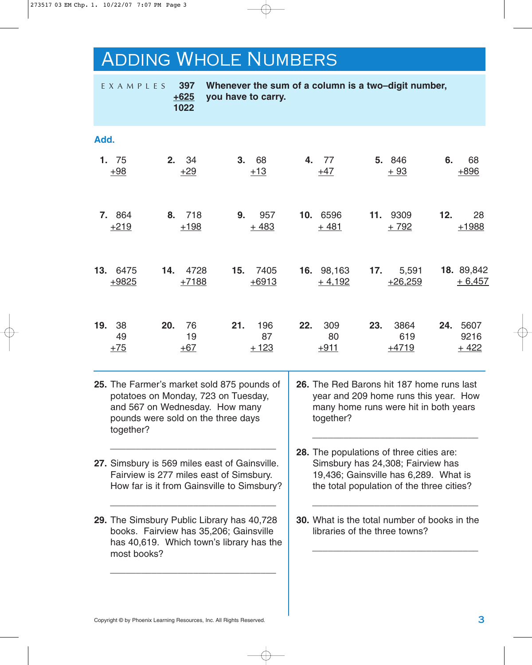# Adding Whole Numbers

|      | EXAMPLES                                                                                                                                                               |     | 397<br>$+625$<br>1022 | you have to carry. |             |                     |                                                                                                                                                                     |                        |     | Whenever the sum of a column is a two-digit number,                                                                         |     |                               |
|------|------------------------------------------------------------------------------------------------------------------------------------------------------------------------|-----|-----------------------|--------------------|-------------|---------------------|---------------------------------------------------------------------------------------------------------------------------------------------------------------------|------------------------|-----|-----------------------------------------------------------------------------------------------------------------------------|-----|-------------------------------|
| Add. |                                                                                                                                                                        |     |                       |                    |             |                     |                                                                                                                                                                     |                        |     |                                                                                                                             |     |                               |
|      | 1. 75<br>$+98$                                                                                                                                                         | 2.  | 34<br>$+29$           |                    | 3.<br>$+13$ | 68                  |                                                                                                                                                                     | 4. 77<br>$+47$         |     | 5. 846<br>$+93$                                                                                                             | 6.  | 68<br>$+896$                  |
|      | 7. 864<br>$+219$                                                                                                                                                       |     | 8. 718<br>$+198$      |                    | 9.          | 957<br>$+483$       |                                                                                                                                                                     | 10. 6596<br>$+481$     |     | 11. 9309<br>$+792$                                                                                                          | 12. | 28<br>$+1988$                 |
| 13.  | 6475<br>$+9825$                                                                                                                                                        | 14. | 4728<br>$+7188$       | 15.                |             | 7405<br>$+6913$     |                                                                                                                                                                     | 16. 98,163<br>$+4,192$ | 17. | 5,591<br>$+26,259$                                                                                                          |     | 18. 89,842<br>$+6,457$        |
| 19.  | 38<br>49<br>$+75$                                                                                                                                                      | 20. | 76<br>19<br>$+67$     | 21.                |             | 196<br>87<br>$+123$ | 22.                                                                                                                                                                 | 309<br>80<br>$+911$    | 23. | 3864<br>619<br>$+4719$                                                                                                      | 24. | 5607<br>9216<br><u> + 422</u> |
|      | 25. The Farmer's market sold 875 pounds of<br>potatoes on Monday, 723 on Tuesday,<br>and 567 on Wednesday. How many<br>pounds were sold on the three days<br>together? |     |                       |                    |             |                     |                                                                                                                                                                     | together?              |     | 26. The Red Barons hit 187 home runs last<br>year and 209 home runs this year. How<br>many home runs were hit in both years |     |                               |
|      | 27. Simsbury is 569 miles east of Gainsville.<br>Fairview is 277 miles east of Simsbury.<br>How far is it from Gainsville to Simsbury?                                 |     |                       |                    |             |                     | 28. The populations of three cities are:<br>Simsbury has 24,308; Fairview has<br>19,436; Gainsville has 6,289. What is<br>the total population of the three cities? |                        |     |                                                                                                                             |     |                               |
|      | 29. The Simsbury Public Library has 40,728<br>books. Fairview has 35,206; Gainsville<br>has 40,619. Which town's library has the<br>most books?                        |     |                       |                    |             |                     |                                                                                                                                                                     |                        |     | <b>30.</b> What is the total number of books in the<br>libraries of the three towns?                                        |     |                               |
|      |                                                                                                                                                                        |     |                       |                    |             |                     |                                                                                                                                                                     |                        |     |                                                                                                                             |     |                               |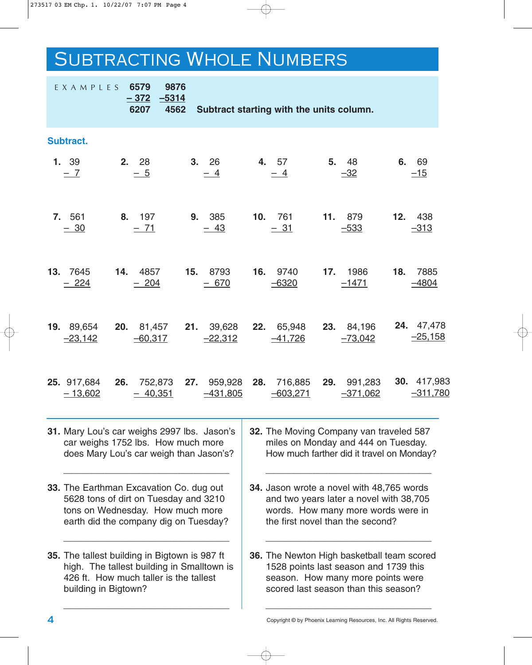## SUBTRACTING WHOLE NUMBERS

| EXAMPLES 6579                                                                                                                                                 | 9876<br>$-372$ $-5314$<br>6207 4562 |                           | Subtract starting with the units column.                                                                                                                         |                            |                           |
|---------------------------------------------------------------------------------------------------------------------------------------------------------------|-------------------------------------|---------------------------|------------------------------------------------------------------------------------------------------------------------------------------------------------------|----------------------------|---------------------------|
| <b>Subtract.</b>                                                                                                                                              |                                     |                           |                                                                                                                                                                  |                            |                           |
| 1. 39<br>$-7$                                                                                                                                                 | 2. 28<br>$-5$                       | 3.26<br>$-4$              | 4. 57<br>$-4$                                                                                                                                                    | 5. 48<br>$-32$             | 6. 69<br>$-15$            |
| <b>7.</b> 561<br>$-30$                                                                                                                                        | 8. 197<br>$-71$                     | 9. 385<br>$-43$           | 10. 761<br>$-31$                                                                                                                                                 | <b>11.</b> 879<br>$-533$   | 12. 438<br>$-313$         |
| <b>13.</b> 7645<br>$-224$                                                                                                                                     | <b>14.</b> 4857<br>$-204$           | <b>15.</b> 8793<br>$-670$ | <b>16.</b> 9740<br>$-6320$                                                                                                                                       | <b>17.</b> 1986<br>$-1471$ | 18. 7885<br>$-4804$       |
| 19. 89,654 20. 81,457 21. 39,628 22. 65,948 23. 84,196<br>$-23,142$                                                                                           | $-60,317$                           | $-22,312$                 | $-41,726$                                                                                                                                                        | $-73,042$                  | 24. 47,478<br>$-25,158$   |
| <b>25.</b> 917,684<br>$-13,602$                                                                                                                               | $-40,351$                           | $-431,805$                | 26. 752,873 27. 959,928 28. 716,885 29. 991,283<br>$-603,271$                                                                                                    | <u>–371,062</u>            | 30. 417,983<br>$-311,780$ |
| 31. Mary Lou's car weighs 2997 lbs. Jason's<br>car weighs 1752 lbs. How much more<br>does Mary Lou's car weigh than Jason's?                                  |                                     |                           | 32. The Moving Company van traveled 587<br>miles on Monday and 444 on Tuesday.<br>How much farther did it travel on Monday?                                      |                            |                           |
| 33. The Earthman Excavation Co. dug out<br>5628 tons of dirt on Tuesday and 3210<br>tons on Wednesday. How much more<br>earth did the company dig on Tuesday? |                                     |                           | 34. Jason wrote a novel with 48,765 words<br>and two years later a novel with 38,705<br>words. How many more words were in<br>the first novel than the second?   |                            |                           |
| 35. The tallest building in Bigtown is 987 ft<br>high. The tallest building in Smalltown is<br>426 ft. How much taller is the tallest<br>building in Bigtown? |                                     |                           | 36. The Newton High basketball team scored<br>1528 points last season and 1739 this<br>season. How many more points were<br>scored last season than this season? |                            |                           |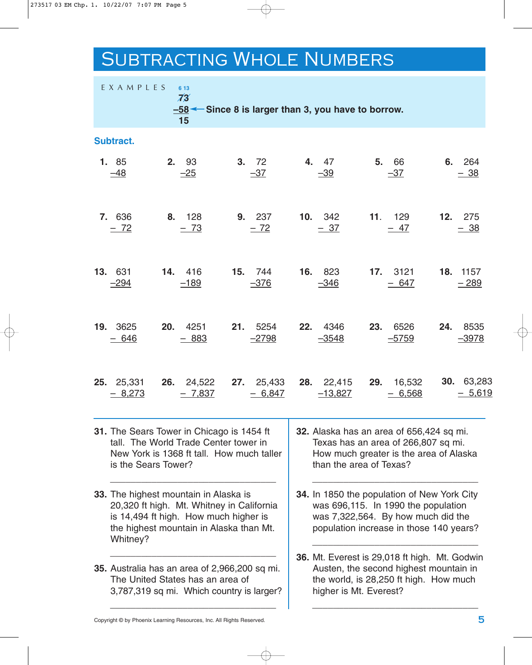## Subtracting Whole Numbers

| EXAMPLES               | 6 13<br>$\overline{73}$<br>15                                                                                                                                          |                                                 | $-58$ $\leftarrow$ Since 8 is larger than 3, you have to borrow.                                                                                     |                                                                                                                                                                     |                        |  |  |
|------------------------|------------------------------------------------------------------------------------------------------------------------------------------------------------------------|-------------------------------------------------|------------------------------------------------------------------------------------------------------------------------------------------------------|---------------------------------------------------------------------------------------------------------------------------------------------------------------------|------------------------|--|--|
| Subtract.              |                                                                                                                                                                        |                                                 |                                                                                                                                                      |                                                                                                                                                                     |                        |  |  |
| 1. 85<br>$-48$         | 2. 93<br>$-25$                                                                                                                                                         | 3. 72<br>$-37$                                  | 4. 47<br>$-39$                                                                                                                                       | 5. 66<br>$-37$                                                                                                                                                      | 6. 264<br>$-38$        |  |  |
| 7. 636<br>$-72$        | 8. 128<br>$-73$                                                                                                                                                        | 9. 237<br>$-72$                                 | <b>10.</b> 342<br>$-37$                                                                                                                              | 11. 129<br>$-47$                                                                                                                                                    | 12. 275<br>$-38$       |  |  |
| 13. 631<br>$-294$      | 14. 416<br>$-189$                                                                                                                                                      | 15. 744<br>$-376$                               | 16. 823<br>$-346$                                                                                                                                    | 17. 3121<br>$-647$                                                                                                                                                  | 18. 1157<br>$-289$     |  |  |
| 19. 3625<br>$-646$     | 20.<br>4251<br>$-883$                                                                                                                                                  | <b>21.</b> 5254<br>$-2798$                      | <b>22.</b> 4346<br>$-3548$                                                                                                                           | 23.<br>6526<br>$-5759$                                                                                                                                              | 24.<br>8535<br>$-3978$ |  |  |
| 25. 25,331<br>$-8,273$ | $-7,837$                                                                                                                                                               | <b>26.</b> 24,522 <b>27.</b> 25,433<br>$-6,847$ | <b>28.</b> 22,415<br>$-13,827$                                                                                                                       | <b>29.</b> 16,532<br>$-6,568$                                                                                                                                       | 30. 63,283<br>$-5,619$ |  |  |
|                        | 31. The Sears Tower in Chicago is 1454 ft<br>tall. The World Trade Center tower in<br>New York is 1368 ft tall. How much taller<br>is the Sears Tower?                 |                                                 | 32. Alaska has an area of 656,424 sq mi.<br>Texas has an area of 266,807 sq mi.<br>How much greater is the area of Alaska<br>than the area of Texas? |                                                                                                                                                                     |                        |  |  |
| Whitney?               | 33. The highest mountain in Alaska is<br>20,320 ft high. Mt. Whitney in California<br>is 14,494 ft high. How much higher is<br>the highest mountain in Alaska than Mt. |                                                 |                                                                                                                                                      | 34. In 1850 the population of New York City<br>was 696,115. In 1990 the population<br>was 7,322,564. By how much did the<br>population increase in those 140 years? |                        |  |  |

**36.** Mt. Everest is 29,018 ft high. Mt. Godwin Austen, the second highest mountain in the world, is 28,250 ft high. How much higher is Mt. Everest?

\_\_\_\_\_\_\_\_\_\_\_\_\_\_\_\_\_\_\_\_\_\_\_\_\_\_\_\_\_\_\_\_

Copyright © by Phoenix Learning Resources, Inc. All Rights Reserved. **5**

\_\_\_\_\_\_\_\_\_\_\_\_\_\_\_\_\_\_\_\_\_\_\_\_\_\_\_\_\_\_\_\_

3,787,319 sq mi. Which country is larger? \_\_\_\_\_\_\_\_\_\_\_\_\_\_\_\_\_\_\_\_\_\_\_\_\_\_\_\_\_\_\_\_

**35.** Australia has an area of 2,966,200 sq mi. The United States has an area of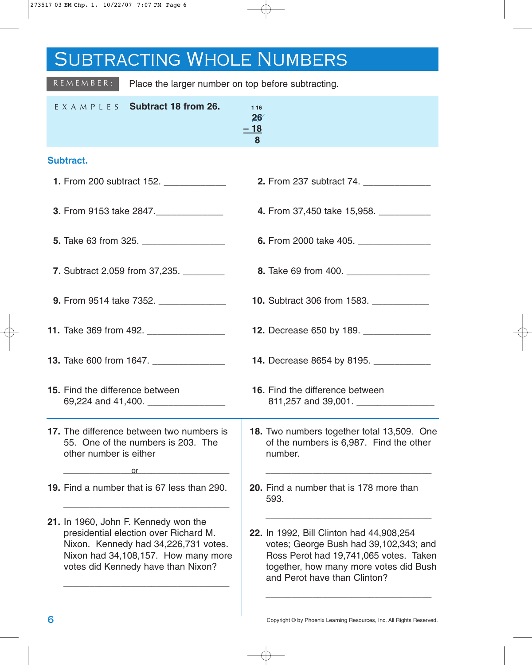# SUBTRACTING WHOLE NUMBERS

| $R E M E M B E R:$                     | Place the larger number on top before subtracting.                                                                                                                                                 |                            |                                                                                                                                                                                                        |
|----------------------------------------|----------------------------------------------------------------------------------------------------------------------------------------------------------------------------------------------------|----------------------------|--------------------------------------------------------------------------------------------------------------------------------------------------------------------------------------------------------|
| E X A M P L E S                        | Subtract 18 from 26.                                                                                                                                                                               | 1 16<br>26'<br>$=$ 18<br>8 |                                                                                                                                                                                                        |
| <b>Subtract.</b>                       |                                                                                                                                                                                                    |                            |                                                                                                                                                                                                        |
|                                        | <b>1.</b> From 200 subtract 152. _____________                                                                                                                                                     |                            | 2. From 237 subtract 74. _____________                                                                                                                                                                 |
|                                        | 3. From 9153 take 2847.                                                                                                                                                                            |                            | 4. From 37,450 take 15,958.                                                                                                                                                                            |
|                                        |                                                                                                                                                                                                    |                            | 6. From 2000 take 405.                                                                                                                                                                                 |
|                                        | <b>7.</b> Subtract 2,059 from 37,235.                                                                                                                                                              |                            |                                                                                                                                                                                                        |
|                                        | <b>9.</b> From 9514 take 7352.                                                                                                                                                                     |                            | <b>10.</b> Subtract 306 from 1583.                                                                                                                                                                     |
|                                        | 11. Take 369 from 492. _________________                                                                                                                                                           |                            | 12. Decrease 650 by 189.                                                                                                                                                                               |
|                                        | 13. Take 600 from 1647.                                                                                                                                                                            |                            | 14. Decrease 8654 by 8195.                                                                                                                                                                             |
| <b>15.</b> Find the difference between | 69,224 and 41,400.                                                                                                                                                                                 |                            | <b>16.</b> Find the difference between<br>811,257 and 39,001.                                                                                                                                          |
| other number is either                 | 17. The difference between two numbers is<br>55. One of the numbers is 203. The<br>or                                                                                                              |                            | 18. Two numbers together total 13,509. One<br>of the numbers is 6,987. Find the other<br>number.                                                                                                       |
|                                        | 19. Find a number that is 67 less than 290.                                                                                                                                                        |                            | 20. Find a number that is 178 more than<br>593.                                                                                                                                                        |
|                                        | 21. In 1960, John F. Kennedy won the<br>presidential election over Richard M.<br>Nixon. Kennedy had 34,226,731 votes.<br>Nixon had 34,108,157. How many more<br>votes did Kennedy have than Nixon? |                            | 22. In 1992, Bill Clinton had 44,908,254<br>votes; George Bush had 39,102,343; and<br>Ross Perot had 19,741,065 votes. Taken<br>together, how many more votes did Bush<br>and Perot have than Clinton? |